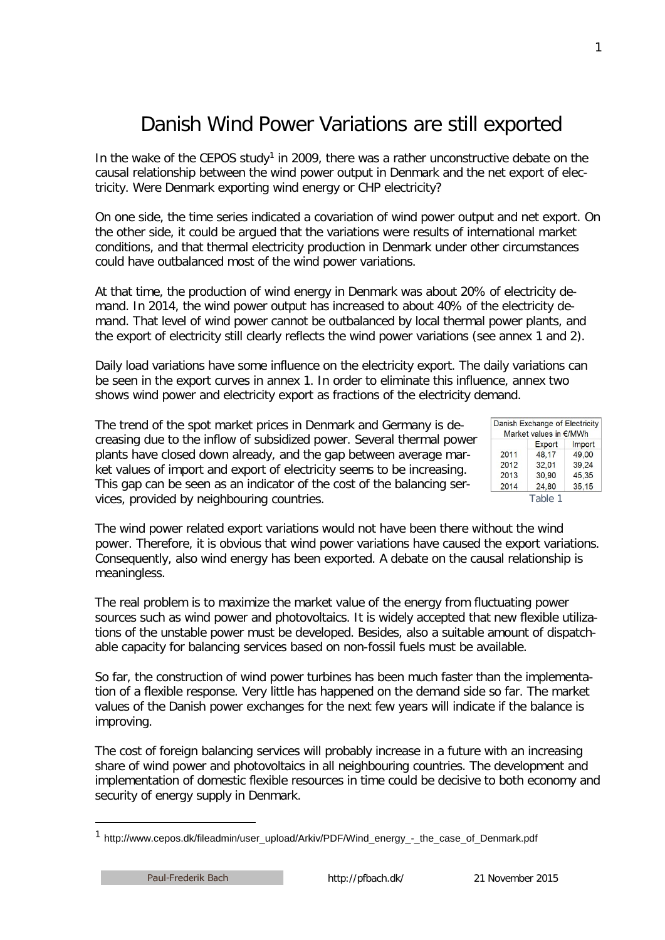## Danish Wind Power Variations are still exported

In the wake of the CEPOS study<sup>1</sup> in 2009, there was a rather unconstructive debate on the causal relationship between the wind power output in Denmark and the net export of electricity. Were Denmark exporting wind energy or CHP electricity?

On one side, the time series indicated a covariation of wind power output and net export. On the other side, it could be argued that the variations were results of international market conditions, and that thermal electricity production in Denmark under other circumstances could have outbalanced most of the wind power variations.

At that time, the production of wind energy in Denmark was about 20% of electricity demand. In 2014, the wind power output has increased to about 40% of the electricity demand. That level of wind power cannot be outbalanced by local thermal power plants, and the export of electricity still clearly reflects the wind power variations (see annex 1 and 2).

Daily load variations have some influence on the electricity export. The daily variations can be seen in the export curves in annex 1. In order to eliminate this influence, annex two shows wind power and electricity export as fractions of the electricity demand.

The trend of the spot market prices in Denmark and Germany is decreasing due to the inflow of subsidized power. Several thermal power plants have closed down already, and the gap between average market values of import and export of electricity seems to be increasing. This gap can be seen as an indicator of the cost of the balancing services, provided by neighbouring countries.

|      | Danish Exchange of Electricity<br>Market values in €/MWh |        |
|------|----------------------------------------------------------|--------|
|      | Export                                                   | Import |
| 2011 | 48.17                                                    | 49.00  |
| 2012 | 32,01                                                    | 39,24  |
| 2013 | 30.90                                                    | 45.35  |
| 2014 | 24,80                                                    | 35,15  |

The wind power related export variations would not have been there without the wind power. Therefore, it is obvious that wind power variations have caused the export variations. Consequently, also wind energy has been exported. A debate on the causal relationship is meaningless.

The real problem is to maximize the market value of the energy from fluctuating power sources such as wind power and photovoltaics. It is widely accepted that new flexible utilizations of the unstable power must be developed. Besides, also a suitable amount of dispatchable capacity for balancing services based on non-fossil fuels must be available.

So far, the construction of wind power turbines has been much faster than the implementation of a flexible response. Very little has happened on the demand side so far. The market values of the Danish power exchanges for the next few years will indicate if the balance is improving.

The cost of foreign balancing services will probably increase in a future with an increasing share of wind power and photovoltaics in all neighbouring countries. The development and implementation of domestic flexible resources in time could be decisive to both economy and security of energy supply in Denmark.

1

<span id="page-0-0"></span><sup>&</sup>lt;sup>1</sup> http://www.cepos.dk/fileadmin/user\_upload/Arkiv/PDF/Wind\_energy\_-\_the\_case\_of\_Denmark.pdf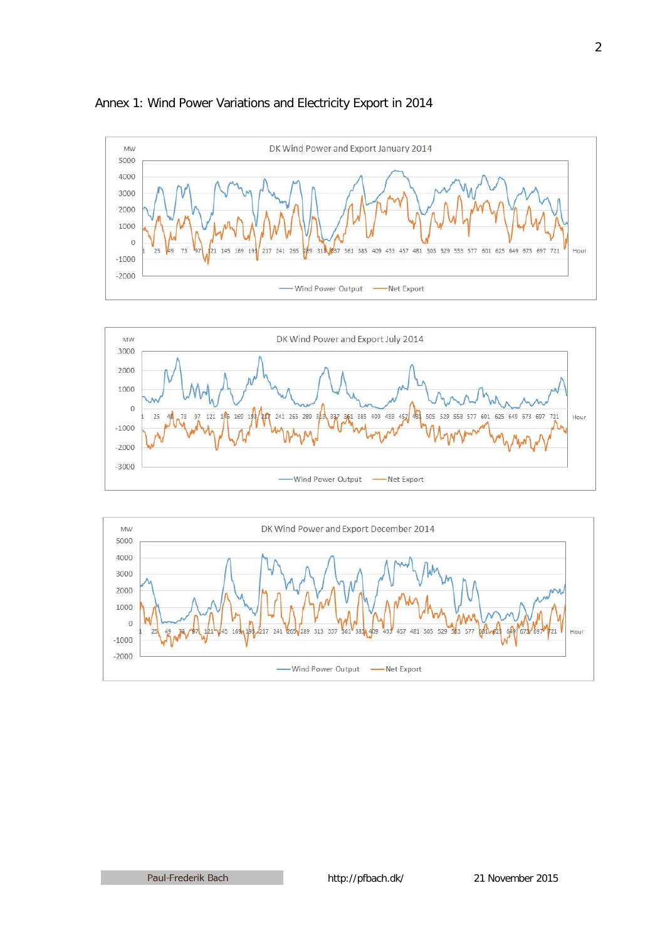

## Annex 1: Wind Power Variations and Electricity Export in 2014